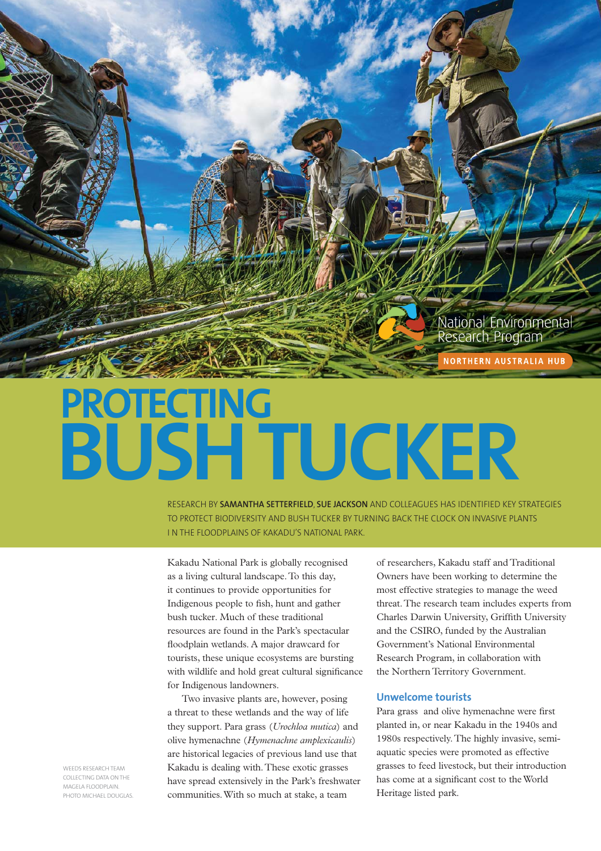

# **PROTECTING BUSH TUCKER**

RESEARCH BY **SAMANTHA SETTERFIELD**, **SUE JACKSON** AND COLLEAGUES HAS IDENTIFIED KEY STRATEGIES TO PROTECT BIODIVERSITY AND BUSH TUCKER BY TURNING BACK THE CLOCK ON INVASIVE PLANTS I N THE FLOODPLAINS OF KAKADU'S NATIONAL PARK.

Kakadu National Park is globally recognised as a living cultural landscape. To this day, it continues to provide opportunities for Indigenous people to fish, hunt and gather bush tucker. Much of these traditional resources are found in the Park's spectacular floodplain wetlands. A major drawcard for tourists, these unique ecosystems are bursting with wildlife and hold great cultural significance for Indigenous landowners.

Two invasive plants are, however, posing a threat to these wetlands and the way of life they support. Para grass (*Urochloa mutica*) and olive hymenachne (*Hymenachne amplexicaulis*) are historical legacies of previous land use that Kakadu is dealing with. These exotic grasses have spread extensively in the Park's freshwater communities. With so much at stake, a team

of researchers, Kakadu staff and Traditional Owners have been working to determine the most effective strategies to manage the weed threat. The research team includes experts from Charles Darwin University, Griffith University and the CSIRO, funded by the Australian Government's National Environmental Research Program, in collaboration with the Northern Territory Government.

## **Unwelcome tourists**

Para grass and olive hymenachne were first planted in, or near Kakadu in the 1940s and 1980s respectively. The highly invasive, semiaquatic species were promoted as effective grasses to feed livestock, but their introduction has come at a significant cost to the World Heritage listed park.

WEEDS RESEARCH TEAM COLLECTING DATA ON THE MAGELA FLOODPLAIN. PHOTO MICHAEL DOUGLAS.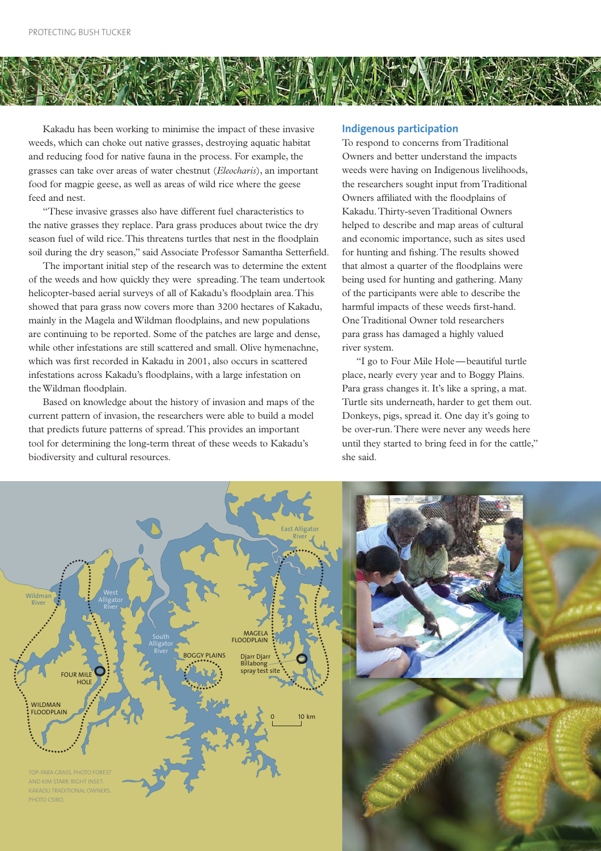

Kakadu has been working to minimise the impact of these invasive weeds, which can choke out native grasses, destroying aquatic habitat and reducing food for native fauna in the process. For example, the grasses can take over areas of water chestnut (*Eleocharis*), an important food for magpie geese, as well as areas of wild rice where the geese feed and nest.

"These invasive grasses also have different fuel characteristics to the native grasses they replace. Para grass produces about twice the dry season fuel of wild rice. This threatens turtles that nest in the floodplain soil during the dry season," said Associate Professor Samantha Setterfield.

The important initial step of the research was to determine the extent of the weeds and how quickly they were spreading. The team undertook helicopter-based aerial surveys of all of Kakadu's floodplain area. This showed that para grass now covers more than 3200 hectares of Kakadu, mainly in the Magela and Wildman floodplains, and new populations are continuing to be reported. Some of the patches are large and dense, while other infestations are still scattered and small. Olive hymenachne, which was first recorded in Kakadu in 2001, also occurs in scattered infestations across Kakadu's floodplains, with a large infestation on the Wildman floodplain.

Based on knowledge about the history of invasion and maps of the current pattern of invasion, the researchers were able to build a model that predicts future patterns of spread. This provides an important tool for determining the long-term threat of these weeds to Kakadu's biodiversity and cultural resources.

## **Indigenous participation**

To respond to concerns from Traditional Owners and better understand the impacts weeds were having on Indigenous livelihoods, the researchers sought input from Traditional Owners affiliated with the floodplains of Kakadu. Thirty-seven Traditional Owners helped to describe and map areas of cultural and economic importance, such as sites used for hunting and fishing. The results showed that almost a quarter of the floodplains were being used for hunting and gathering. Many of the participants were able to describe the harmful impacts of these weeds first-hand. One Traditional Owner told researchers para grass has damaged a highly valued river system.

"I go to Four Mile Hole — beautiful turtle place, nearly every year and to Boggy Plains. Para grass changes it. It's like a spring, a mat. Turtle sits underneath, harder to get them out. Donkeys, pigs, spread it. One day it's going to be over-run. There were never any weeds here until they started to bring feed in for the cattle," she said.